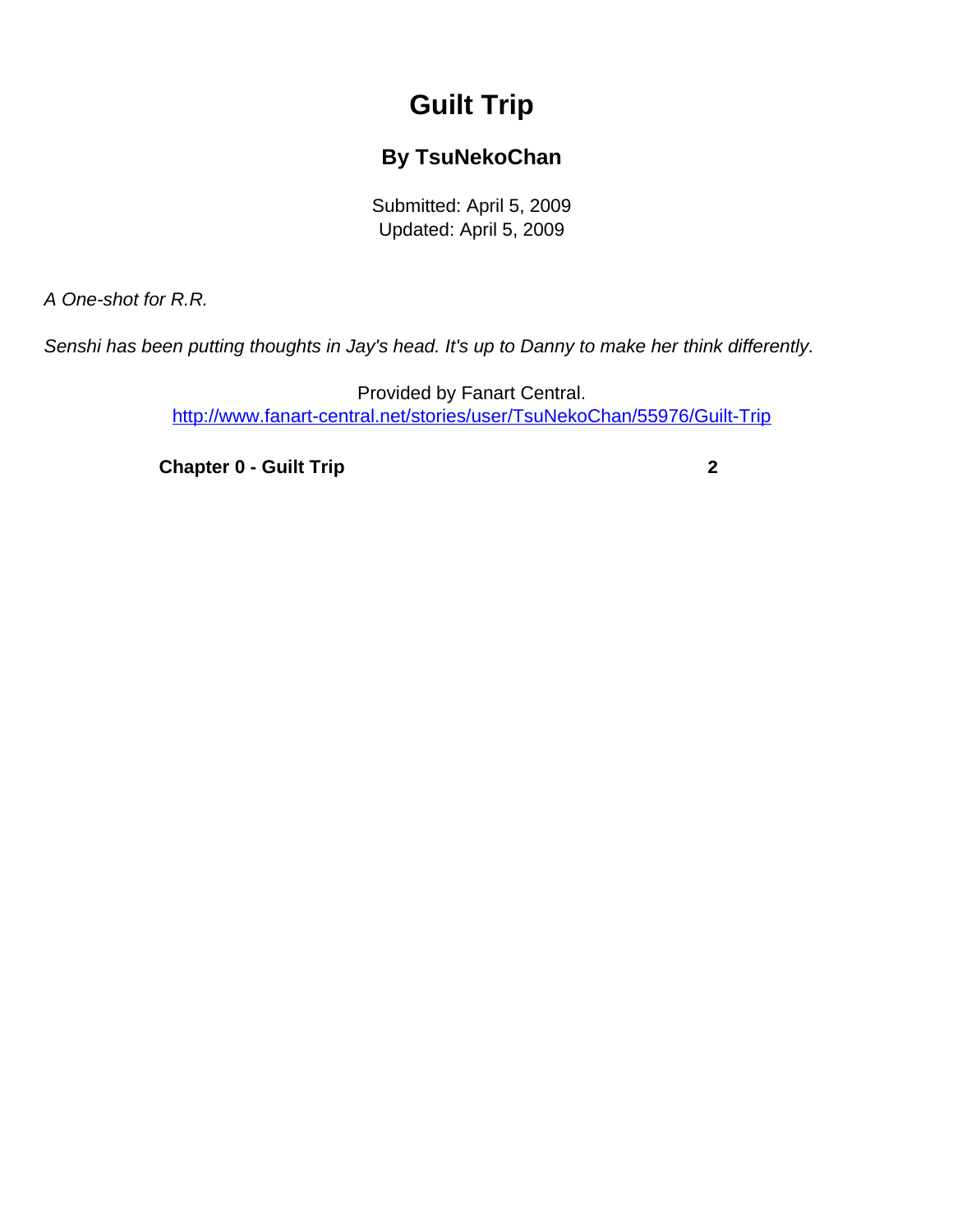## **Guilt Trip**

## **By TsuNekoChan**

Submitted: April 5, 2009 Updated: April 5, 2009

<span id="page-0-0"></span>A One-shot for R.R.

Senshi has been putting thoughts in Jay's head. It's up to Danny to make her think differently.

Provided by Fanart Central. [http://www.fanart-central.net/stories/user/TsuNekoChan/55976/Guilt-Trip](#page-0-0)

**[Chapter 0 - Guilt Trip](#page-1-0)** [2](#page-1-0)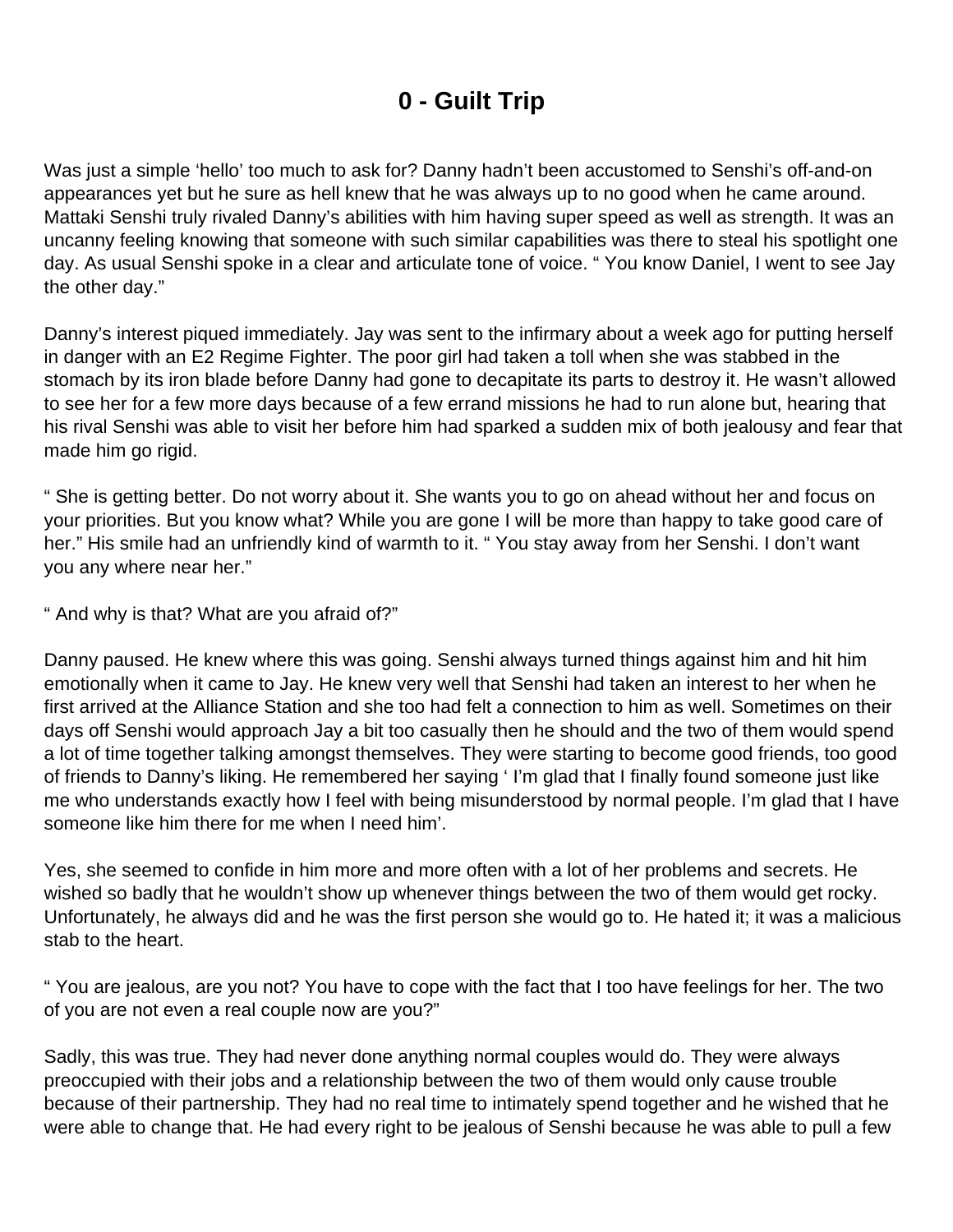## **0 - Guilt Trip**

<span id="page-1-0"></span>Was just a simple 'hello' too much to ask for? Danny hadn't been accustomed to Senshi's off-and-on appearances yet but he sure as hell knew that he was always up to no good when he came around. Mattaki Senshi truly rivaled Danny's abilities with him having super speed as well as strength. It was an uncanny feeling knowing that someone with such similar capabilities was there to steal his spotlight one day. As usual Senshi spoke in a clear and articulate tone of voice. " You know Daniel, I went to see Jay the other day."

Danny's interest piqued immediately. Jay was sent to the infirmary about a week ago for putting herself in danger with an E2 Regime Fighter. The poor girl had taken a toll when she was stabbed in the stomach by its iron blade before Danny had gone to decapitate its parts to destroy it. He wasn't allowed to see her for a few more days because of a few errand missions he had to run alone but, hearing that his rival Senshi was able to visit her before him had sparked a sudden mix of both jealousy and fear that made him go rigid.

" She is getting better. Do not worry about it. She wants you to go on ahead without her and focus on your priorities. But you know what? While you are gone I will be more than happy to take good care of her." His smile had an unfriendly kind of warmth to it. " You stay away from her Senshi. I don't want you any where near her."

" And why is that? What are you afraid of?"

Danny paused. He knew where this was going. Senshi always turned things against him and hit him emotionally when it came to Jay. He knew very well that Senshi had taken an interest to her when he first arrived at the Alliance Station and she too had felt a connection to him as well. Sometimes on their days off Senshi would approach Jay a bit too casually then he should and the two of them would spend a lot of time together talking amongst themselves. They were starting to become good friends, too good of friends to Danny's liking. He remembered her saying ' I'm glad that I finally found someone just like me who understands exactly how I feel with being misunderstood by normal people. I'm glad that I have someone like him there for me when I need him'.

Yes, she seemed to confide in him more and more often with a lot of her problems and secrets. He wished so badly that he wouldn't show up whenever things between the two of them would get rocky. Unfortunately, he always did and he was the first person she would go to. He hated it; it was a malicious stab to the heart.

" You are jealous, are you not? You have to cope with the fact that I too have feelings for her. The two of you are not even a real couple now are you?"

Sadly, this was true. They had never done anything normal couples would do. They were always preoccupied with their jobs and a relationship between the two of them would only cause trouble because of their partnership. They had no real time to intimately spend together and he wished that he were able to change that. He had every right to be jealous of Senshi because he was able to pull a few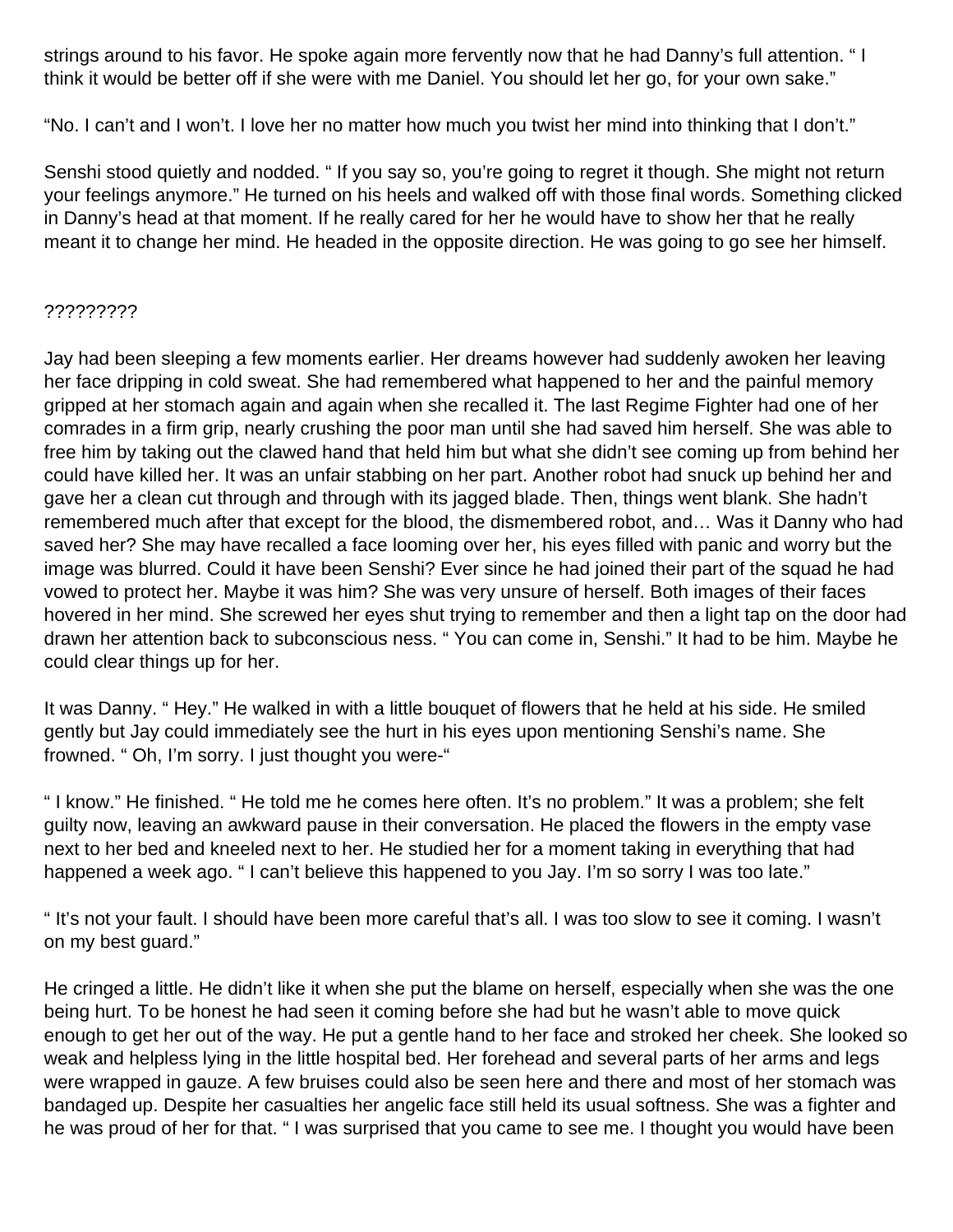strings around to his favor. He spoke again more fervently now that he had Danny's full attention. " I think it would be better off if she were with me Daniel. You should let her go, for your own sake."

"No. I can't and I won't. I love her no matter how much you twist her mind into thinking that I don't."

Senshi stood quietly and nodded. " If you say so, you're going to regret it though. She might not return your feelings anymore." He turned on his heels and walked off with those final words. Something clicked in Danny's head at that moment. If he really cared for her he would have to show her that he really meant it to change her mind. He headed in the opposite direction. He was going to go see her himself.

## ?????????

Jay had been sleeping a few moments earlier. Her dreams however had suddenly awoken her leaving her face dripping in cold sweat. She had remembered what happened to her and the painful memory gripped at her stomach again and again when she recalled it. The last Regime Fighter had one of her comrades in a firm grip, nearly crushing the poor man until she had saved him herself. She was able to free him by taking out the clawed hand that held him but what she didn't see coming up from behind her could have killed her. It was an unfair stabbing on her part. Another robot had snuck up behind her and gave her a clean cut through and through with its jagged blade. Then, things went blank. She hadn't remembered much after that except for the blood, the dismembered robot, and… Was it Danny who had saved her? She may have recalled a face looming over her, his eyes filled with panic and worry but the image was blurred. Could it have been Senshi? Ever since he had joined their part of the squad he had vowed to protect her. Maybe it was him? She was very unsure of herself. Both images of their faces hovered in her mind. She screwed her eyes shut trying to remember and then a light tap on the door had drawn her attention back to subconscious ness. " You can come in, Senshi." It had to be him. Maybe he could clear things up for her.

It was Danny. " Hey." He walked in with a little bouquet of flowers that he held at his side. He smiled gently but Jay could immediately see the hurt in his eyes upon mentioning Senshi's name. She frowned. " Oh, I'm sorry. I just thought you were-"

" I know." He finished. " He told me he comes here often. It's no problem." It was a problem; she felt guilty now, leaving an awkward pause in their conversation. He placed the flowers in the empty vase next to her bed and kneeled next to her. He studied her for a moment taking in everything that had happened a week ago. "I can't believe this happened to you Jay. I'm so sorry I was too late."

" It's not your fault. I should have been more careful that's all. I was too slow to see it coming. I wasn't on my best guard."

He cringed a little. He didn't like it when she put the blame on herself, especially when she was the one being hurt. To be honest he had seen it coming before she had but he wasn't able to move quick enough to get her out of the way. He put a gentle hand to her face and stroked her cheek. She looked so weak and helpless lying in the little hospital bed. Her forehead and several parts of her arms and legs were wrapped in gauze. A few bruises could also be seen here and there and most of her stomach was bandaged up. Despite her casualties her angelic face still held its usual softness. She was a fighter and he was proud of her for that. " I was surprised that you came to see me. I thought you would have been